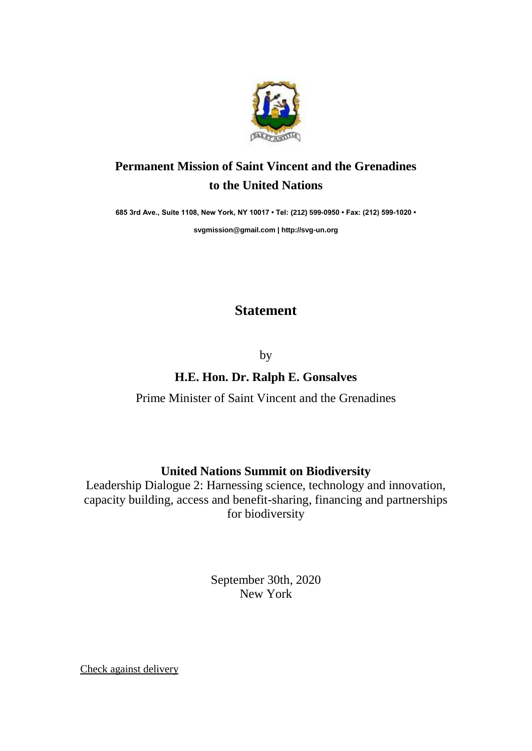

## **Permanent Mission of Saint Vincent and the Grenadines to the United Nations**

**685 3rd Ave., Suite 1108, New York, NY 10017 • Tel: (212) 599-0950 • Fax: (212) 599-1020 •** 

**[svgmission@gmail.com](mailto:svgmission@gmail.com) | [http://svg-un.org](http://svg-un.org/)**

## **Statement**

by

## **H.E. Hon. Dr. Ralph E. Gonsalves**

Prime Minister of Saint Vincent and the Grenadines

## **United Nations Summit on Biodiversity**

Leadership Dialogue 2: Harnessing science, technology and innovation, capacity building, access and benefit-sharing, financing and partnerships for biodiversity

> September 30th, 2020 New York

Check against delivery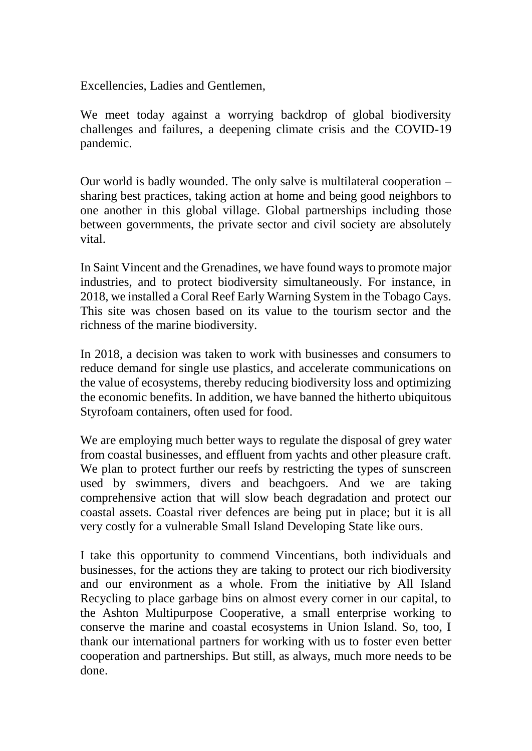Excellencies, Ladies and Gentlemen,

We meet today against a worrying backdrop of global biodiversity challenges and failures, a deepening climate crisis and the COVID-19 pandemic.

Our world is badly wounded. The only salve is multilateral cooperation – sharing best practices, taking action at home and being good neighbors to one another in this global village. Global partnerships including those between governments, the private sector and civil society are absolutely vital.

In Saint Vincent and the Grenadines, we have found ways to promote major industries, and to protect biodiversity simultaneously. For instance, in 2018, we installed a Coral Reef Early Warning System in the Tobago Cays. This site was chosen based on its value to the tourism sector and the richness of the marine biodiversity.

In 2018, a decision was taken to work with businesses and consumers to reduce demand for single use plastics, and accelerate communications on the value of ecosystems, thereby reducing biodiversity loss and optimizing the economic benefits. In addition, we have banned the hitherto ubiquitous Styrofoam containers, often used for food.

We are employing much better ways to regulate the disposal of grey water from coastal businesses, and effluent from yachts and other pleasure craft. We plan to protect further our reefs by restricting the types of sunscreen used by swimmers, divers and beachgoers. And we are taking comprehensive action that will slow beach degradation and protect our coastal assets. Coastal river defences are being put in place; but it is all very costly for a vulnerable Small Island Developing State like ours.

I take this opportunity to commend Vincentians, both individuals and businesses, for the actions they are taking to protect our rich biodiversity and our environment as a whole. From the initiative by All Island Recycling to place garbage bins on almost every corner in our capital, to the Ashton Multipurpose Cooperative, a small enterprise working to conserve the marine and coastal ecosystems in Union Island. So, too, I thank our international partners for working with us to foster even better cooperation and partnerships. But still, as always, much more needs to be done.